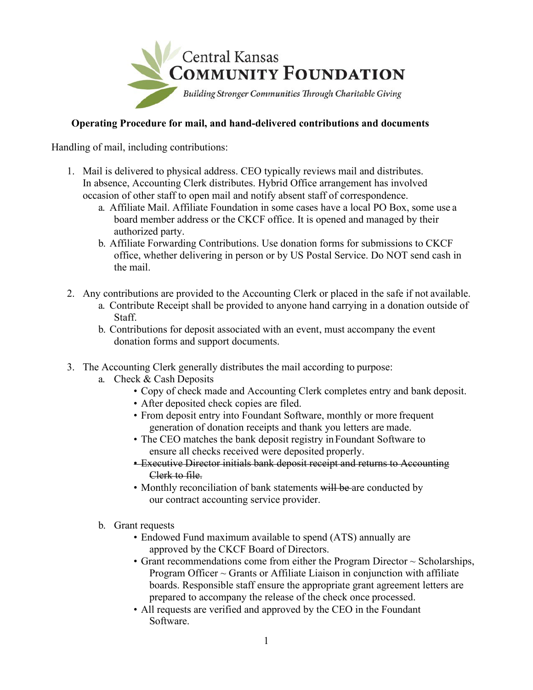

### **Operating Procedure for mail, and hand-delivered contributions and documents**

Handling of mail, including contributions:

- 1. Mail is delivered to physical address. CEO typically reviews mail and distributes. In absence, Accounting Clerk distributes. Hybrid Office arrangement has involved occasion of other staff to open mail and notify absent staff of correspondence.
	- a. Affiliate Mail. Affiliate Foundation in some cases have a local PO Box, some use a board member address or the CKCF office. It is opened and managed by their authorized party.
	- b. Affiliate Forwarding Contributions. Use donation forms for submissions to CKCF office, whether delivering in person or by US Postal Service. Do NOT send cash in the mail.
- 2. Any contributions are provided to the Accounting Clerk or placed in the safe if not available.
	- a. Contribute Receipt shall be provided to anyone hand carrying in a donation outside of Staff.
	- b. Contributions for deposit associated with an event, must accompany the event donation forms and support documents.
- 3. The Accounting Clerk generally distributes the mail according to purpose:
	- a. Check & Cash Deposits
		- Copy of check made and Accounting Clerk completes entry and bank deposit.
		- After deposited check copies are filed.
		- From deposit entry into Foundant Software, monthly or more frequent generation of donation receipts and thank you letters are made.
		- The CEO matches the bank deposit registry in Foundant Software to ensure all checks received were deposited properly.
		- Executive Director initials bank deposit receipt and returns to Accounting Clerk to file.
		- Monthly reconciliation of bank statements will be are conducted by our contract accounting service provider.
	- b. Grant requests
		- Endowed Fund maximum available to spend (ATS) annually are approved by the CKCF Board of Directors.
		- Grant recommendations come from either the Program Director  $\sim$  Scholarships, Program Officer  $\sim$  Grants or Affiliate Liaison in conjunction with affiliate boards. Responsible staff ensure the appropriate grant agreement letters are prepared to accompany the release of the check once processed.
		- All requests are verified and approved by the CEO in the Foundant Software.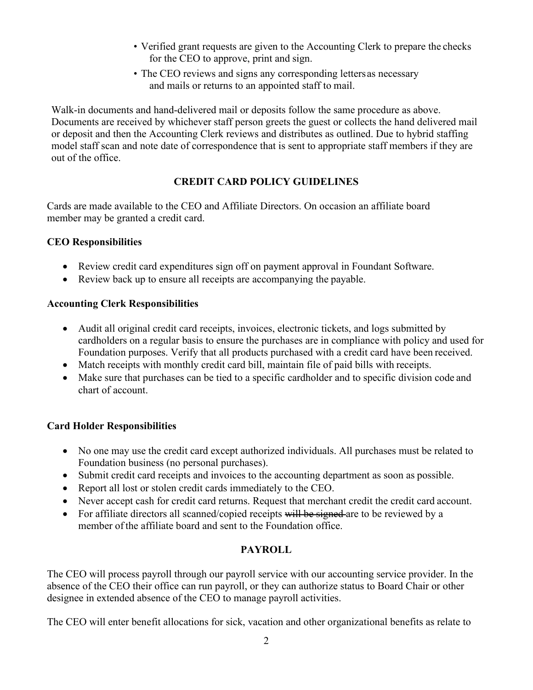- Verified grant requests are given to the Accounting Clerk to prepare the checks for the CEO to approve, print and sign.
- The CEO reviews and signs any corresponding lettersas necessary and mails or returns to an appointed staff to mail.

Walk-in documents and hand-delivered mail or deposits follow the same procedure as above. Documents are received by whichever staff person greets the guest or collects the hand delivered mail or deposit and then the Accounting Clerk reviews and distributes as outlined. Due to hybrid staffing model staff scan and note date of correspondence that is sent to appropriate staff members if they are out of the office.

# **CREDIT CARD POLICY GUIDELINES**

Cards are made available to the CEO and Affiliate Directors. On occasion an affiliate board member may be granted a credit card.

## **CEO Responsibilities**

- Review credit card expenditures sign off on payment approval in Foundant Software.
- Review back up to ensure all receipts are accompanying the payable.

## **Accounting Clerk Responsibilities**

- Audit all original credit card receipts, invoices, electronic tickets, and logs submitted by cardholders on a regular basis to ensure the purchases are in compliance with policy and used for Foundation purposes. Verify that all products purchased with a credit card have been received.
- Match receipts with monthly credit card bill, maintain file of paid bills with receipts.
- Make sure that purchases can be tied to a specific cardholder and to specific division code and chart of account.

# **Card Holder Responsibilities**

- No one may use the credit card except authorized individuals. All purchases must be related to Foundation business (no personal purchases).
- Submit credit card receipts and invoices to the accounting department as soon as possible.
- Report all lost or stolen credit cards immediately to the CEO.
- Never accept cash for credit card returns. Request that merchant credit the credit card account.
- For affiliate directors all scanned/copied receipts will be signed are to be reviewed by a member of the affiliate board and sent to the Foundation office.

# **PAYROLL**

The CEO will process payroll through our payroll service with our accounting service provider. In the absence of the CEO their office can run payroll, or they can authorize status to Board Chair or other designee in extended absence of the CEO to manage payroll activities.

The CEO will enter benefit allocations for sick, vacation and other organizational benefits as relate to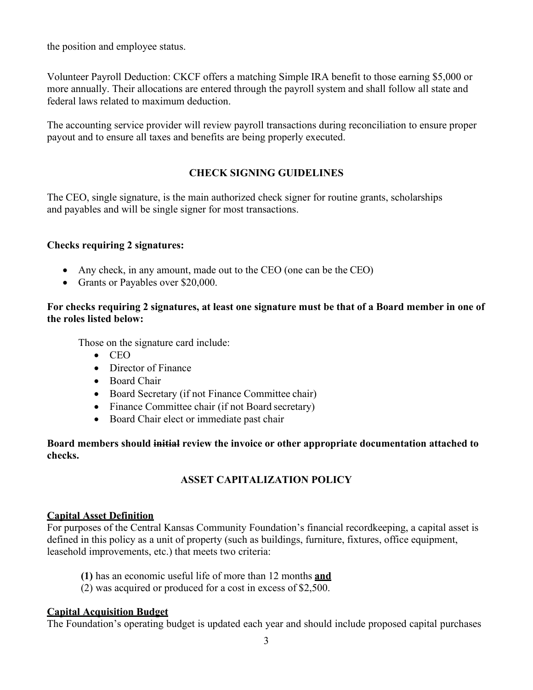the position and employee status.

Volunteer Payroll Deduction: CKCF offers a matching Simple IRA benefit to those earning \$5,000 or more annually. Their allocations are entered through the payroll system and shall follow all state and federal laws related to maximum deduction.

The accounting service provider will review payroll transactions during reconciliation to ensure proper payout and to ensure all taxes and benefits are being properly executed.

### **CHECK SIGNING GUIDELINES**

The CEO, single signature, is the main authorized check signer for routine grants, scholarships and payables and will be single signer for most transactions.

#### **Checks requiring 2 signatures:**

- Any check, in any amount, made out to the CEO (one can be the CEO)
- Grants or Payables over \$20,000.

#### **For checks requiring 2 signatures, at least one signature must be that of a Board member in one of the roles listed below:**

Those on the signature card include:

- CEO
- Director of Finance
- Board Chair
- Board Secretary (if not Finance Committee chair)
- Finance Committee chair (if not Board secretary)
- Board Chair elect or immediate past chair

**Board members should initial review the invoice or other appropriate documentation attached to checks.**

### **ASSET CAPITALIZATION POLICY**

#### **Capital Asset Definition**

For purposes of the Central Kansas Community Foundation's financial recordkeeping, a capital asset is defined in this policy as a unit of property (such as buildings, furniture, fixtures, office equipment, leasehold improvements, etc.) that meets two criteria:

- **(1)** has an economic useful life of more than 12 months **and**
- (2) was acquired or produced for a cost in excess of \$2,500.

#### **Capital Acquisition Budget**

The Foundation's operating budget is updated each year and should include proposed capital purchases